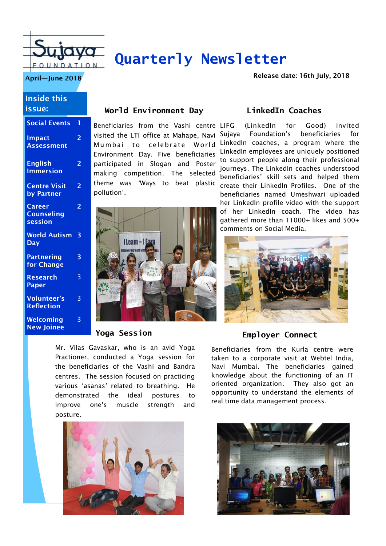

# **Quarterly Newsletter**

**April—June 2018 April—June 2018 April—June 2018** 

#### **Inside this issue:**

| <b>Social Events</b>                    | 1              |
|-----------------------------------------|----------------|
| <b>Impact</b><br><b>Assessment</b>      | $\overline{2}$ |
| <b>English</b><br><b>Immersion</b>      | 2              |
| <b>Centre Visit</b><br>by Partner       | $\overline{2}$ |
| Career<br><b>Counseling</b><br>session  | $\overline{2}$ |
| <b>World Autism</b><br><b>Day</b>       | 3              |
| <b>Partnering</b><br>for Change         | 3              |
| <b>Research</b><br>Paper                | 3              |
| <b>Volunteer's</b><br><b>Reflection</b> | 3              |
| Welcoming<br><b>New Joinee</b>          | 3              |

### **World Environment Day**

Beneficiaries from the Vashi centre visited the LTI office at Mahape, Navi Mumbai to celebrate World Environment Day. Five beneficiaries participated in Slogan and Poster making competition. The selected theme was 'Ways to beat plastic pollution'.



#### **Yoga Session**

Mr. Vilas Gavaskar, who is an avid Yoga Practioner, conducted a Yoga session for the beneficiaries of the Vashi and Bandra centres. The session focused on practicing various 'asanas' related to breathing. He demonstrated the ideal postures to improve one's muscle strength and posture.



### **LinkedIn Coaches**

(LinkedIn for Good) invited Foundation's beneficiaries for LinkedIn coaches, a program where the LinkedIn employees are uniquely positioned to support people along their professional journeys. The LinkedIn coaches understood beneficiaries' skill sets and helped them create their LinkedIn Profiles. One of the beneficiaries named Umeshwari uploaded her LinkedIn profile video with the support of her LinkedIn coach. The video has gathered more than 11000+ likes and 500+ comments on Social Media.



#### **Employer Connect**

Beneficiaries from the Kurla centre were taken to a corporate visit at Webtel India, Navi Mumbai. The beneficiaries gained knowledge about the functioning of an IT oriented organization. They also got an opportunity to understand the elements of real time data management process.

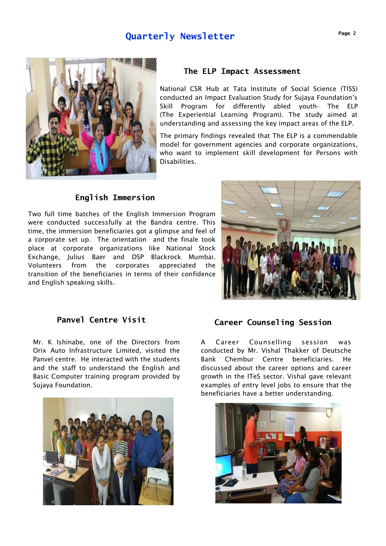## **Quarterly Newsletter**





#### **The ELP Impact Assessment**

National CSR Hub at Tata Institute of Social Science (TISS) conducted an Impact Evaluation Study for Sujaya Foundation's Skill Program for differently abled youth- The ELP (The Experiential Learning Program). The study aimed at understanding and assessing the key impact areas of the ELP.

The primary findings revealed that The ELP is a commendable model for government agencies and corporate organizations, who want to implement skill development for Persons with Disabilities.

#### **English Immersion**

Two full time batches of the English Immersion Program were conducted successfully at the Bandra centre. This time, the immersion beneficiaries got a glimpse and feel of a corporate set up. The orientation and the finale took place at corporate organizations like National Stock Exchange, Julius Baer and DSP Blackrock Mumbai. Volunteers from the corporates appreciated the transition of the beneficiaries in terms of their confidence and English speaking skills.



Mr. K Ishinabe, one of the Directors from Orix Auto Infrastructure Limited, visited the Panvel centre. He interacted with the students and the staff to understand the English and Basic Computer training program provided by Sujaya Foundation.



# Panvel Centre Visit **Career Counseling Session**

A Career Counselling session was conducted by Mr. Vishal Thakker of Deutsche Bank Chembur Centre beneficiaries. He discussed about the career options and career growth in the ITeS sector. Vishal gave relevant examples of entry level jobs to ensure that the beneficiaries have a better understanding.